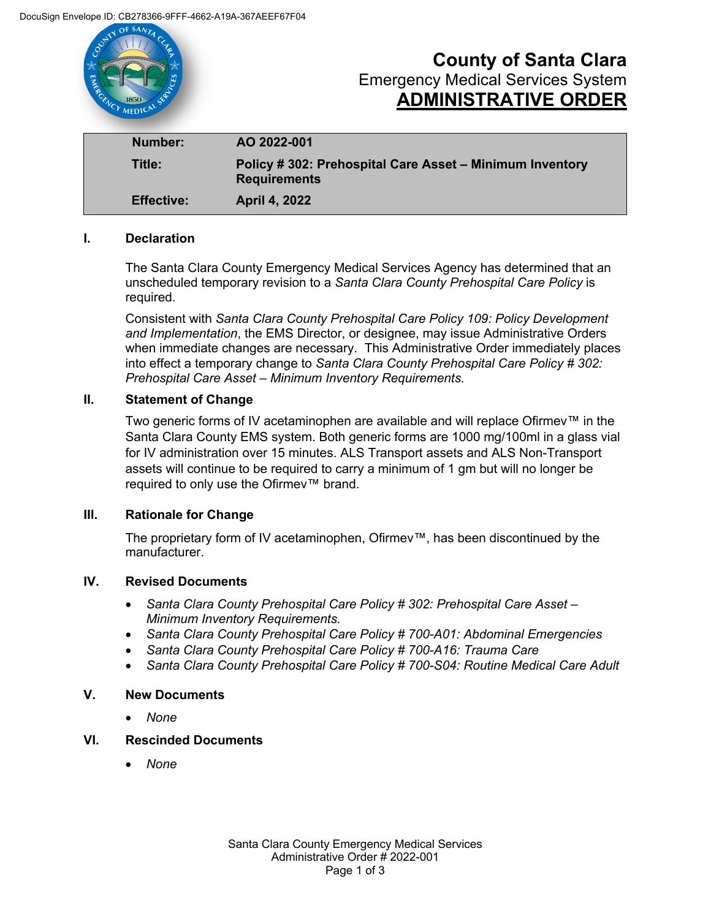

**Effective: April 4, 2022**

# **I. Declaration**

The Santa Clara County Emergency Medical Services Agency has determined that an unscheduled temporary revision to a *Santa Clara County Prehospital Care Policy* is required.

Consistent with *Santa Clara County Prehospital Care Policy 109: Policy Development and Implementation*, the EMS Director, or designee, may issue Administrative Orders when immediate changes are necessary. This Administrative Order immediately places into effect a temporary change to *Santa Clara County Prehospital Care Policy # 302: Prehospital Care Asset – Minimum Inventory Requirements.* 

# **II. Statement of Change**

Two generic forms of IV acetaminophen are available and will replace Ofirmev™ in the Santa Clara County EMS system. Both generic forms are 1000 mg/100ml in a glass vial for IV administration over 15 minutes. ALS Transport assets and ALS Non-Transport assets will continue to be required to carry a minimum of 1 gm but will no longer be required to only use the Ofirmev™ brand.

## **III. Rationale for Change**

The proprietary form of IV acetaminophen, Ofirmev™, has been discontinued by the manufacturer.

# **IV. Revised Documents**

- *Santa Clara County Prehospital Care Policy # 302: Prehospital Care Asset – Minimum Inventory Requirements.*
- *Santa Clara County Prehospital Care Policy # 700-A01: Abdominal Emergencies*
- *Santa Clara County Prehospital Care Policy # 700-A16: Trauma Care*
- *Santa Clara County Prehospital Care Policy # 700-S04: Routine Medical Care Adult*

## **V. New Documents**

• *None*

# **VI. Rescinded Documents**

• *None*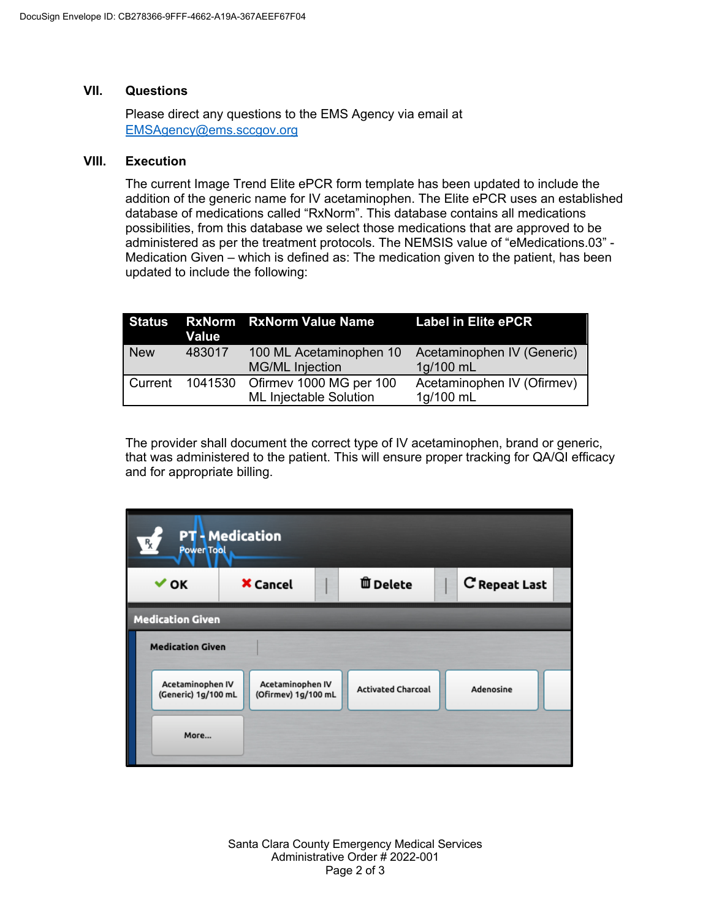## **VII. Questions**

Please direct any questions to the EMS Agency via email at EMSAgency@ems.sccgov.org

## **VIII. Execution**

The current Image Trend Elite ePCR form template has been updated to include the addition of the generic name for IV acetaminophen. The Elite ePCR uses an established database of medications called "RxNorm". This database contains all medications possibilities, from this database we select those medications that are approved to be administered as per the treatment protocols. The NEMSIS value of "eMedications.03" - Medication Given – which is defined as: The medication given to the patient, has been updated to include the following:

|                | Value   | Status RxNorm RxNorm Value Name                          | <b>Label in Elite ePCR</b>              |
|----------------|---------|----------------------------------------------------------|-----------------------------------------|
| <b>New</b>     | 483017  | 100 ML Acetaminophen 10<br><b>MG/ML Injection</b>        | Acetaminophen IV (Generic)<br>1g/100 mL |
| <b>Current</b> | 1041530 | Ofirmey 1000 MG per 100<br><b>ML Injectable Solution</b> | Acetaminophen IV (Ofirmev)<br>1g/100 mL |

The provider shall document the correct type of IV acetaminophen, brand or generic, that was administered to the patient. This will ensure proper tracking for QA/QI efficacy and for appropriate billing.

| <b>PT</b> - Medication<br>$R_{\chi}$<br><b>Power Tool</b> |                                         |  |                           |  |               |  |  |  |  |  |
|-----------------------------------------------------------|-----------------------------------------|--|---------------------------|--|---------------|--|--|--|--|--|
| $\vee$ OK                                                 | <b>X</b> Cancel                         |  | <b>自 Delete</b>           |  | C Repeat Last |  |  |  |  |  |
| <b>Medication Given</b>                                   |                                         |  |                           |  |               |  |  |  |  |  |
| <b>Medication Given</b>                                   |                                         |  |                           |  |               |  |  |  |  |  |
| Acetaminophen IV<br>(Generic) 1g/100 mL                   | Acetaminophen IV<br>(Ofirmev) 1g/100 mL |  | <b>Activated Charcoal</b> |  | Adenosine     |  |  |  |  |  |
| More                                                      |                                         |  |                           |  |               |  |  |  |  |  |